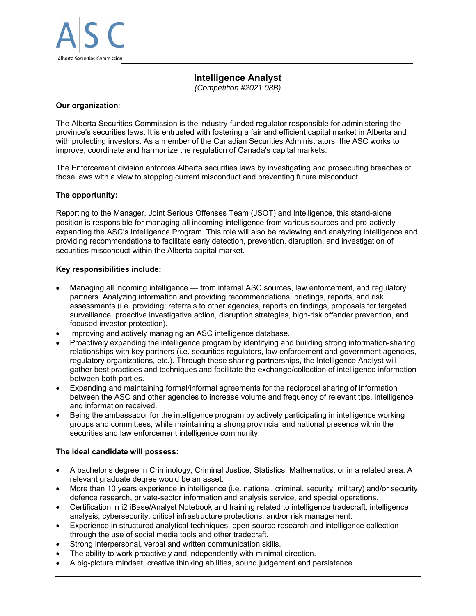

# **Intelligence Analyst**

*(Competition #2021.08B)* 

## **Our organization**:

The Alberta Securities Commission is the industry-funded regulator responsible for administering the province's securities laws. It is entrusted with fostering a fair and efficient capital market in Alberta and with protecting investors. As a member of the Canadian Securities Administrators, the ASC works to improve, coordinate and harmonize the regulation of Canada's capital markets.

The Enforcement division enforces Alberta securities laws by investigating and prosecuting breaches of those laws with a view to stopping current misconduct and preventing future misconduct.

## **The opportunity:**

Reporting to the Manager, Joint Serious Offenses Team (JSOT) and Intelligence, this stand-alone position is responsible for managing all incoming intelligence from various sources and pro-actively expanding the ASC's Intelligence Program. This role will also be reviewing and analyzing intelligence and providing recommendations to facilitate early detection, prevention, disruption, and investigation of securities misconduct within the Alberta capital market.

## **Key responsibilities include:**

- Managing all incoming intelligence from internal ASC sources, law enforcement, and regulatory partners. Analyzing information and providing recommendations, briefings, reports, and risk assessments (i.e. providing: referrals to other agencies, reports on findings, proposals for targeted surveillance, proactive investigative action, disruption strategies, high-risk offender prevention, and focused investor protection).
- Improving and actively managing an ASC intelligence database.
- Proactively expanding the intelligence program by identifying and building strong information-sharing relationships with key partners (i.e. securities regulators, law enforcement and government agencies, regulatory organizations, etc.). Through these sharing partnerships, the Intelligence Analyst will gather best practices and techniques and facilitate the exchange/collection of intelligence information between both parties.
- Expanding and maintaining formal/informal agreements for the reciprocal sharing of information between the ASC and other agencies to increase volume and frequency of relevant tips, intelligence and information received.
- Being the ambassador for the intelligence program by actively participating in intelligence working groups and committees, while maintaining a strong provincial and national presence within the securities and law enforcement intelligence community.

#### **The ideal candidate will possess:**

- A bachelor's degree in Criminology, Criminal Justice, Statistics, Mathematics, or in a related area. A relevant graduate degree would be an asset.
- More than 10 years experience in intelligence (i.e. national, criminal, security, military) and/or security defence research, private-sector information and analysis service, and special operations.
- Certification in i2 iBase/Analyst Notebook and training related to intelligence tradecraft, intelligence analysis, cybersecurity, critical infrastructure protections, and/or risk management.
- Experience in structured analytical techniques, open-source research and intelligence collection through the use of social media tools and other tradecraft.
- Strong interpersonal, verbal and written communication skills.
- The ability to work proactively and independently with minimal direction.
- A big-picture mindset, creative thinking abilities, sound judgement and persistence.